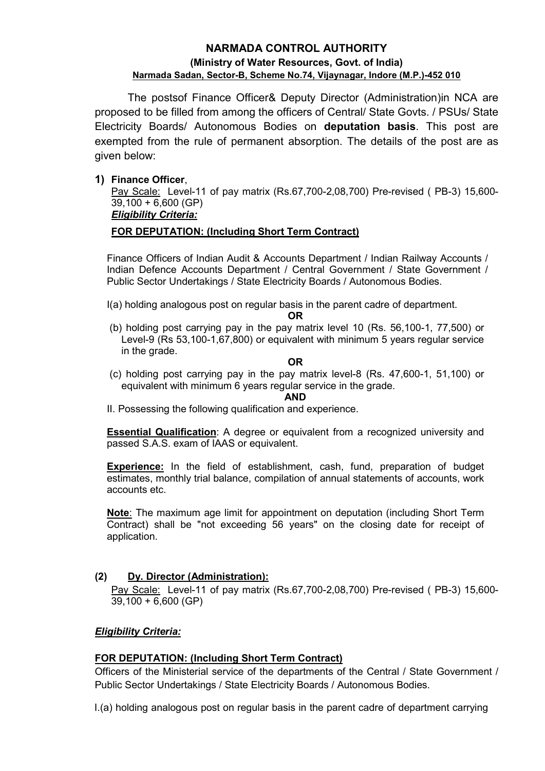# NARMADA CONTROL AUTHORITY (Ministry of Water Resources, Govt. of India) Narmada Sadan, Sector-B, Scheme No.74, Vijaynagar, Indore (M.P.)-452 010

 The postsof Finance Officer& Deputy Director (Administration)in NCA are proposed to be filled from among the officers of Central/ State Govts. / PSUs/ State Electricity Boards/ Autonomous Bodies on deputation basis. This post are exempted from the rule of permanent absorption. The details of the post are as given below:

## 1) Finance Officer,

Pay Scale: Level-11 of pay matrix (Rs.67,700-2,08,700) Pre-revised ( PB-3) 15,600- 39,100 + 6,600 (GP)

# Eligibility Criteria:

# FOR DEPUTATION: (Including Short Term Contract)

Finance Officers of Indian Audit & Accounts Department / Indian Railway Accounts / Indian Defence Accounts Department / Central Government / State Government / Public Sector Undertakings / State Electricity Boards / Autonomous Bodies.

I(a) holding analogous post on regular basis in the parent cadre of department.

OR

 (b) holding post carrying pay in the pay matrix level 10 (Rs. 56,100-1, 77,500) or Level-9 (Rs 53,100-1,67,800) or equivalent with minimum 5 years regular service in the grade.

### OR

 (c) holding post carrying pay in the pay matrix level-8 (Rs. 47,600-1, 51,100) or equivalent with minimum 6 years regular service in the grade.

#### AND

II. Possessing the following qualification and experience.

Essential Qualification: A degree or equivalent from a recognized university and passed S.A.S. exam of IAAS or equivalent.

Experience: In the field of establishment, cash, fund, preparation of budget estimates, monthly trial balance, compilation of annual statements of accounts, work accounts etc.

Note: The maximum age limit for appointment on deputation (including Short Term Contract) shall be "not exceeding 56 years" on the closing date for receipt of application.

### (2) Dy. Director (Administration):

Pay Scale: Level-11 of pay matrix (Rs.67,700-2,08,700) Pre-revised ( PB-3) 15,600- 39,100 + 6,600 (GP)

# Eligibility Criteria:

# FOR DEPUTATION: (Including Short Term Contract)

Officers of the Ministerial service of the departments of the Central / State Government / Public Sector Undertakings / State Electricity Boards / Autonomous Bodies.

I.(a) holding analogous post on regular basis in the parent cadre of department carrying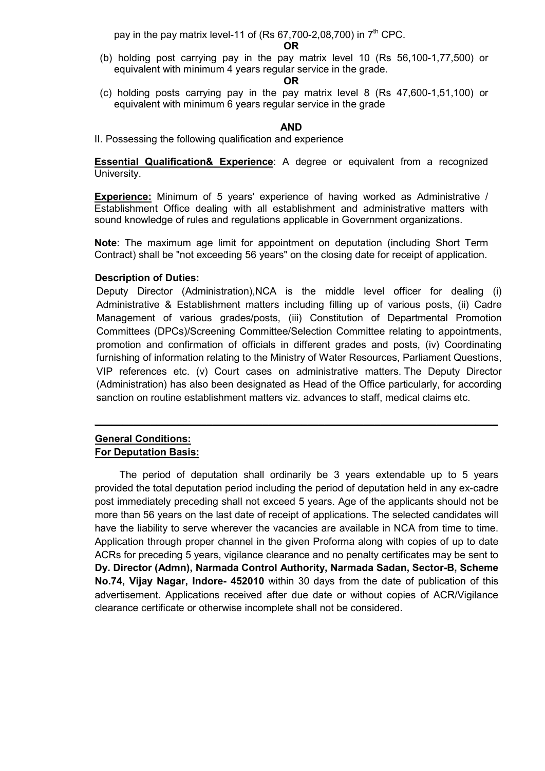pay in the pay matrix level-11 of (Rs 67,700-2,08,700) in  $7<sup>th</sup>$  CPC.

OR

 (b) holding post carrying pay in the pay matrix level 10 (Rs 56,100-1,77,500) or equivalent with minimum 4 years regular service in the grade.

#### OR

 (c) holding posts carrying pay in the pay matrix level 8 (Rs 47,600-1,51,100) or equivalent with minimum 6 years regular service in the grade

#### AND

II. Possessing the following qualification and experience

**Essential Qualification& Experience:** A degree or equivalent from a recognized University.

Experience: Minimum of 5 years' experience of having worked as Administrative / Establishment Office dealing with all establishment and administrative matters with sound knowledge of rules and regulations applicable in Government organizations.

Note: The maximum age limit for appointment on deputation (including Short Term Contract) shall be "not exceeding 56 years" on the closing date for receipt of application.

### Description of Duties:

Deputy Director (Administration),NCA is the middle level officer for dealing (i) Administrative & Establishment matters including filling up of various posts, (ii) Cadre Management of various grades/posts, (iii) Constitution of Departmental Promotion Committees (DPCs)/Screening Committee/Selection Committee relating to appointments, promotion and confirmation of officials in different grades and posts, (iv) Coordinating furnishing of information relating to the Ministry of Water Resources, Parliament Questions, VIP references etc. (v) Court cases on administrative matters. The Deputy Director (Administration) has also been designated as Head of the Office particularly, for according sanction on routine establishment matters viz. advances to staff, medical claims etc.

\_\_\_\_\_\_\_\_\_\_\_\_\_\_\_\_\_\_\_\_\_\_\_\_\_\_\_\_\_\_\_\_\_\_\_\_\_\_\_\_\_\_\_\_\_\_\_\_\_\_\_\_\_\_\_\_\_\_\_\_\_\_\_\_\_\_\_\_\_\_\_\_

## General Conditions: For Deputation Basis:

The period of deputation shall ordinarily be 3 years extendable up to 5 years provided the total deputation period including the period of deputation held in any ex-cadre post immediately preceding shall not exceed 5 years. Age of the applicants should not be more than 56 years on the last date of receipt of applications. The selected candidates will have the liability to serve wherever the vacancies are available in NCA from time to time. Application through proper channel in the given Proforma along with copies of up to date ACRs for preceding 5 years, vigilance clearance and no penalty certificates may be sent to Dy. Director (Admn), Narmada Control Authority, Narmada Sadan, Sector-B, Scheme No.74, Vijay Nagar, Indore- 452010 within 30 days from the date of publication of this advertisement. Applications received after due date or without copies of ACR/Vigilance clearance certificate or otherwise incomplete shall not be considered.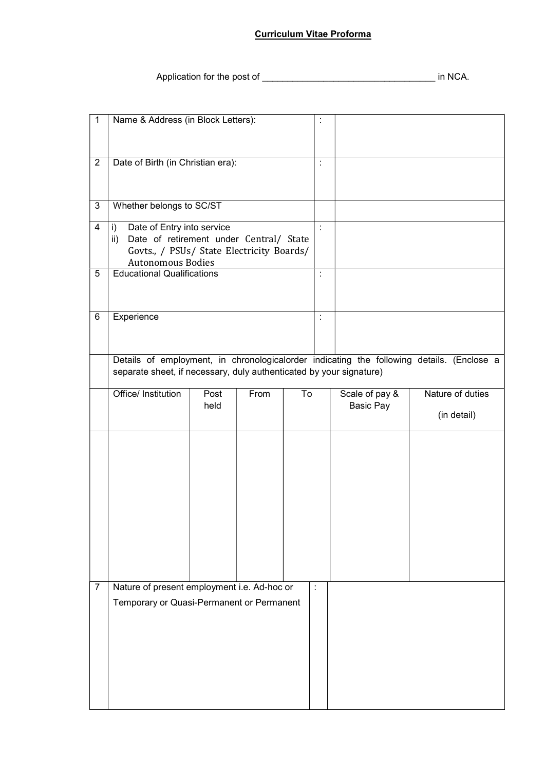### Curriculum Vitae Proforma

Application for the post of \_\_\_\_\_\_\_\_\_\_\_\_\_\_\_\_\_\_\_\_\_\_\_\_\_\_\_\_\_\_\_\_\_\_ in NCA.

| $\mathbf{1}$   | Name & Address (in Block Letters):                                                                    |              |      |    | ÷                    |                                    |                                                                                           |
|----------------|-------------------------------------------------------------------------------------------------------|--------------|------|----|----------------------|------------------------------------|-------------------------------------------------------------------------------------------|
|                |                                                                                                       |              |      |    |                      |                                    |                                                                                           |
| $\overline{2}$ | Date of Birth (in Christian era):                                                                     |              |      |    | t                    |                                    |                                                                                           |
|                |                                                                                                       |              |      |    |                      |                                    |                                                                                           |
| 3              | Whether belongs to SC/ST                                                                              |              |      |    |                      |                                    |                                                                                           |
| 4              | i)<br>Date of Entry into service                                                                      |              |      |    |                      |                                    |                                                                                           |
|                | Date of retirement under Central/ State<br>$\mathsf{ii}$<br>Govts., / PSUs/ State Electricity Boards/ |              |      |    |                      |                                    |                                                                                           |
| 5              | <b>Autonomous Bodies</b><br><b>Educational Qualifications</b>                                         |              |      |    |                      |                                    |                                                                                           |
|                |                                                                                                       |              |      |    |                      |                                    |                                                                                           |
| 6              | Experience                                                                                            |              |      |    | ÷                    |                                    |                                                                                           |
|                |                                                                                                       |              |      |    |                      |                                    |                                                                                           |
|                |                                                                                                       |              |      |    |                      |                                    | Details of employment, in chronologicalorder indicating the following details. (Enclose a |
|                | separate sheet, if necessary, duly authenticated by your signature)                                   |              |      |    |                      |                                    |                                                                                           |
|                | Office/ Institution                                                                                   | Post<br>held | From | To |                      | Scale of pay &<br><b>Basic Pay</b> | Nature of duties                                                                          |
|                |                                                                                                       |              |      |    |                      |                                    |                                                                                           |
|                |                                                                                                       |              |      |    |                      |                                    | (in detail)                                                                               |
|                |                                                                                                       |              |      |    |                      |                                    |                                                                                           |
|                |                                                                                                       |              |      |    |                      |                                    |                                                                                           |
|                |                                                                                                       |              |      |    |                      |                                    |                                                                                           |
|                |                                                                                                       |              |      |    |                      |                                    |                                                                                           |
|                |                                                                                                       |              |      |    |                      |                                    |                                                                                           |
|                |                                                                                                       |              |      |    |                      |                                    |                                                                                           |
|                |                                                                                                       |              |      |    |                      |                                    |                                                                                           |
| $\overline{7}$ | Nature of present employment i.e. Ad-hoc or                                                           |              |      |    | $\ddot{\phantom{a}}$ |                                    |                                                                                           |
|                | Temporary or Quasi-Permanent or Permanent                                                             |              |      |    |                      |                                    |                                                                                           |
|                |                                                                                                       |              |      |    |                      |                                    |                                                                                           |
|                |                                                                                                       |              |      |    |                      |                                    |                                                                                           |
|                |                                                                                                       |              |      |    |                      |                                    |                                                                                           |
|                |                                                                                                       |              |      |    |                      |                                    |                                                                                           |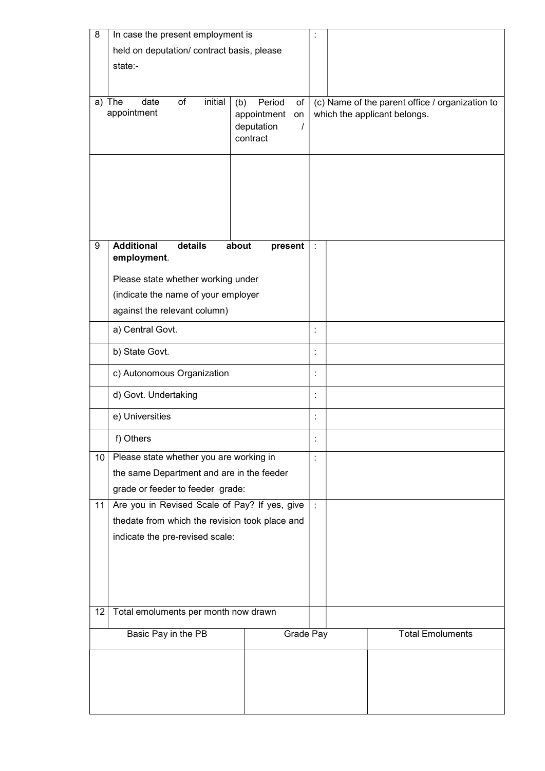| 8      | In case the present employment is              |                              |                                                                                 |                         |
|--------|------------------------------------------------|------------------------------|---------------------------------------------------------------------------------|-------------------------|
|        | held on deputation/ contract basis, please     |                              |                                                                                 |                         |
|        | state:-                                        |                              |                                                                                 |                         |
|        |                                                |                              |                                                                                 |                         |
|        | initial<br>date<br>of                          | Period<br>of                 |                                                                                 |                         |
| a) The | appointment                                    | (b)<br>appointment<br>on     | (c) Name of the parent office / organization to<br>which the applicant belongs. |                         |
|        |                                                | deputation<br>$\overline{I}$ |                                                                                 |                         |
|        |                                                | contract                     |                                                                                 |                         |
|        |                                                |                              |                                                                                 |                         |
|        |                                                |                              |                                                                                 |                         |
|        |                                                |                              |                                                                                 |                         |
|        |                                                |                              |                                                                                 |                         |
|        |                                                |                              |                                                                                 |                         |
|        |                                                |                              |                                                                                 |                         |
| 9      | <b>Additional</b><br>details                   | about<br>present             | ÷                                                                               |                         |
|        | employment.                                    |                              |                                                                                 |                         |
|        | Please state whether working under             |                              |                                                                                 |                         |
|        | (indicate the name of your employer            |                              |                                                                                 |                         |
|        | against the relevant column)                   |                              |                                                                                 |                         |
|        |                                                |                              |                                                                                 |                         |
|        | a) Central Govt.                               |                              | $\ddot{\phantom{a}}$                                                            |                         |
|        | b) State Govt.                                 |                              | $\ddot{\phantom{a}}$                                                            |                         |
|        | c) Autonomous Organization                     |                              |                                                                                 |                         |
|        | d) Govt. Undertaking                           |                              |                                                                                 |                         |
|        | e) Universities                                |                              |                                                                                 |                         |
|        | f) Others                                      |                              |                                                                                 |                         |
| 10     | Please state whether you are working in        |                              | $\ddot{\cdot}$                                                                  |                         |
|        | the same Department and are in the feeder      |                              |                                                                                 |                         |
|        | grade or feeder to feeder grade:               |                              |                                                                                 |                         |
| 11     | Are you in Revised Scale of Pay? If yes, give  |                              | $\dot{\mathbf{r}}$                                                              |                         |
|        | thedate from which the revision took place and |                              |                                                                                 |                         |
|        | indicate the pre-revised scale:                |                              |                                                                                 |                         |
|        |                                                |                              |                                                                                 |                         |
|        |                                                |                              |                                                                                 |                         |
|        |                                                |                              |                                                                                 |                         |
|        |                                                |                              |                                                                                 |                         |
| 12     | Total emoluments per month now drawn           |                              |                                                                                 |                         |
|        | Basic Pay in the PB                            | Grade Pay                    |                                                                                 | <b>Total Emoluments</b> |
|        |                                                |                              |                                                                                 |                         |
|        |                                                |                              |                                                                                 |                         |
|        |                                                |                              |                                                                                 |                         |
|        |                                                |                              |                                                                                 |                         |
|        |                                                |                              |                                                                                 |                         |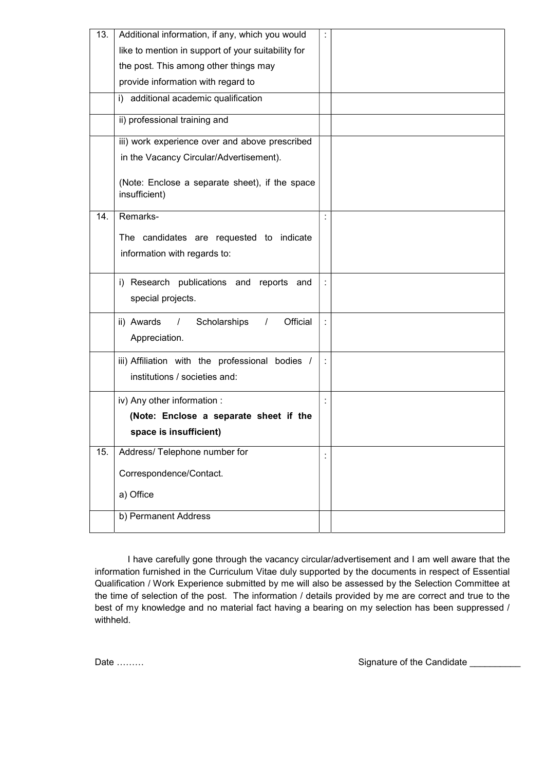| 13. | Additional information, if any, which you would                 |   |  |
|-----|-----------------------------------------------------------------|---|--|
|     | like to mention in support of your suitability for              |   |  |
|     | the post. This among other things may                           |   |  |
|     | provide information with regard to                              |   |  |
|     | i) additional academic qualification                            |   |  |
|     | ii) professional training and                                   |   |  |
|     | iii) work experience over and above prescribed                  |   |  |
|     | in the Vacancy Circular/Advertisement).                         |   |  |
|     | (Note: Enclose a separate sheet), if the space<br>insufficient) |   |  |
| 14. | Remarks-                                                        | t |  |
|     | The candidates are requested to indicate                        |   |  |
|     | information with regards to:                                    |   |  |
|     |                                                                 |   |  |
|     | i) Research publications and reports and                        |   |  |
|     | special projects.                                               |   |  |
|     | ii) Awards<br>Scholarships<br>Official<br>$\prime$<br>$\prime$  |   |  |
|     | Appreciation.                                                   |   |  |
|     |                                                                 |   |  |
|     | iii) Affiliation with the professional bodies /                 |   |  |
|     | institutions / societies and:                                   |   |  |
|     | iv) Any other information :                                     |   |  |
|     | (Note: Enclose a separate sheet if the                          |   |  |
|     | space is insufficient)                                          |   |  |
| 15. | Address/Telephone number for                                    |   |  |
|     | Correspondence/Contact.                                         |   |  |
|     | a) Office                                                       |   |  |
|     | b) Permanent Address                                            |   |  |
|     |                                                                 |   |  |

I have carefully gone through the vacancy circular/advertisement and I am well aware that the information furnished in the Curriculum Vitae duly supported by the documents in respect of Essential Qualification / Work Experience submitted by me will also be assessed by the Selection Committee at the time of selection of the post. The information / details provided by me are correct and true to the best of my knowledge and no material fact having a bearing on my selection has been suppressed / withheld.